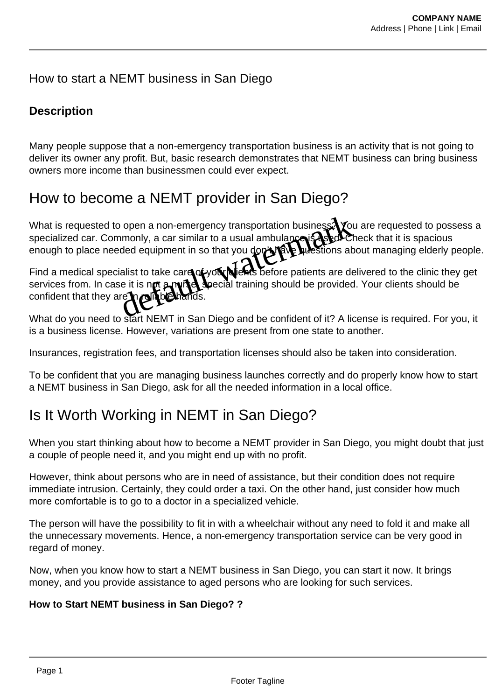## How to start a NEMT business in San Diego

## **Description**

Many people suppose that a non-emergency transportation business is an activity that is not going to deliver its owner any profit. But, basic research demonstrates that NEMT business can bring business owners more income than businessmen could ever expect.

## How to become a NEMT provider in San Diego?

What is requested to open a non-emergency transportation business. You are requested to possess a specialized car. Commonly, a car similar to a usual ambulance is used. Check that it is spacious enough to place needed equipment in so that you don't have stions about managing elderly people. open a non-emergency transportation business. You imonly, a car similar to a usual ambulance is dealed<br>ded equipment in so that you don't reveal westions at<br>ialist to take care of you when before patients are de<br>se it is n

Find a medical specialist to take care of your directs before patients are delivered to the clinic they get services from. In case it is not a nurse, special training should be provided. Your clients should be confident that they are

What do you need to start NEMT in San Diego and be confident of it? A license is required. For you, it is a business license. However, variations are present from one state to another.

Insurances, registration fees, and transportation licenses should also be taken into consideration.

To be confident that you are managing business launches correctly and do properly know how to start a NEMT business in San Diego, ask for all the needed information in a local office.

# Is It Worth Working in NEMT in San Diego?

When you start thinking about how to become a NEMT provider in San Diego, you might doubt that just a couple of people need it, and you might end up with no profit.

However, think about persons who are in need of assistance, but their condition does not require immediate intrusion. Certainly, they could order a taxi. On the other hand, just consider how much more comfortable is to go to a doctor in a specialized vehicle.

The person will have the possibility to fit in with a wheelchair without any need to fold it and make all the unnecessary movements. Hence, a non-emergency transportation service can be very good in regard of money.

Now, when you know how to start a NEMT business in San Diego, you can start it now. It brings money, and you provide assistance to aged persons who are looking for such services.

#### **How to Start NEMT business in San Diego? ?**